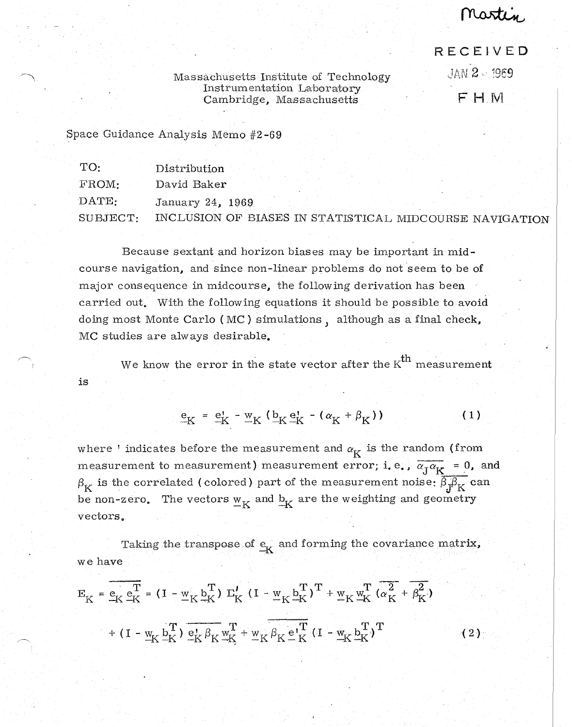Martin

## RECEIVED

JAN 2 . 1969

F H M

Massachusetts Institute of Technology Instrumentation Laboratory Cambridge, Massachusetts

Space Guidance Analysis Memo #2-69

| TO:      | Distribution                                            |  |  |  |
|----------|---------------------------------------------------------|--|--|--|
| $FROM-$  | David Baker                                             |  |  |  |
| DATE:    | January 24, 1969                                        |  |  |  |
| SIIBJECT | INCLUSION OF BIASES IN STATISTICAL MIDCOURSE NAVIGATION |  |  |  |

Because sextant and horizon biases may be important in midcourse navigation, and since non-linear problems do not seem to be of major consequence in midcourse, the following derivation has been carried out. With the following equations it should be possible to avoid doing most Monte Carlo (MC) simulations, although as a final check, MC studies are always desirable.

We know the error in the state vector after the  $K^{th}$  measurement is

$$
\underline{\mathbf{e}}_{\mathbf{K}} = \underline{\mathbf{e}}_{\mathbf{K}}^{\dagger} - \underline{\mathbf{w}}_{\mathbf{K}} \left( \underline{\mathbf{b}}_{\mathbf{K}} \underline{\mathbf{e}}_{\mathbf{K}}^{\dagger} - (\alpha_{\mathbf{K}} + \beta_{\mathbf{K}}) \right)
$$
 (1)

where 'indicates before the measurement and  $\alpha_K$  is the random (from measurement to measurement) measurement error; i. e.,  $\overline{\alpha_{\overline{J}}\alpha_{\overline{K}}} = 0$ , and  $\beta_{\textrm{K}}$  is the correlated (colored) part of the measurement noise:  $\overline{\beta_{\textrm{J}}\beta_{\textrm{K}}}$  can be non-zero. The vectors  $\mathbf{w}_{\mathbf{K}}$  and  $\mathbf{b}_{\mathbf{K}}$  are the weighting and geometry vectors.

we have Taking the transpose of  $\frac{e}{K}$  and forming the covariance matrix,

$$
E_{K} = \overline{e_{K}} \overline{e_{K}^{T}} = (I - \underline{w}_{K} \underline{b_{K}}^{T}) \Sigma_{K}^{J} (I - \underline{w}_{K} \underline{b_{K}}^{T})^{T} + \underline{w}_{K} \underline{w_{K}^{T}} (\overline{\alpha_{K}^{2}} + \overline{\beta_{K}^{2}})
$$
  
+ 
$$
(I - \underline{w}_{K} \underline{b_{K}}^{T}) \underline{e_{K}^{J}} \beta_{K} \underline{w_{K}}^{T} + \underline{w}_{K} \overline{\beta_{K} \underline{e_{K}}^{T}} (I - \underline{w}_{K} \underline{b_{K}}^{T})^{T}
$$
(2)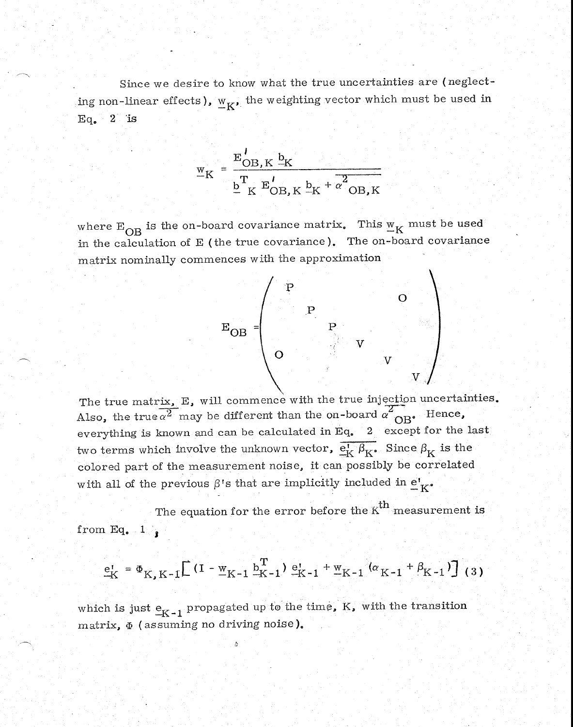Since we desire to know what the true uncertainties are (neglecting non-linear effects),  $w_{K}$ , the weighting vector which must be used in  $Eq. 2 is$ 

$$
\underline{\mathbf{w}}_{\mathbf{K}} = \frac{\mathbf{E}_{\mathbf{OB},\mathbf{K}}^{\prime} \mathbf{b}_{\mathbf{K}}}{\mathbf{b}_{\mathbf{K}}^{\mathbf{T}} \mathbf{E}_{\mathbf{OB},\mathbf{K}}^{\prime} \mathbf{b}_{\mathbf{K}} + \alpha^2 \mathbf{OB}, \mathbf{K}}
$$

where  $E_{OB}$  is the on-board covariance matrix. This  $W_K$  must be used in the calculation of E (the true covariance). The on-board covariance matrix nominally commences with the approximation



The true matrix, E, will commence with the true injection uncertainties. Also, the true  $\alpha^2$  may be different than the on-board  $\alpha^2$ <sub>OB</sub>. Hence, everything is known and can be calculated in Eq. 2 except for the last two terms which involve the unknown vector,  $\overline{e_K^{\prime}} \overline{\beta_K}$ . Since  $\beta_K$  is the colored part of the measurement noise, it can possibly be correlated with all of the previous  $\beta$ 's that are implicitly included in  $\underline{e}^i_K$ .

from Eq.  $1\frac{1}{2}$ The equation for the error before the  $K^{th}$  measurement is

$$
\underline{e}_{K}^{1} = \Phi_{K,K-1} \Big[ (I - \underline{w}_{K-1} \underline{b}_{K-1}^{T}) \underline{e}_{K-1}^{1} + \underline{w}_{K-1} (\alpha_{K-1} + \beta_{K-1}) \Big] (3)
$$

which is just  $\underline{e}_{K-1}$  propagated up to the time, K, with the transition matrix,  $\Phi$  (assuming no driving noise).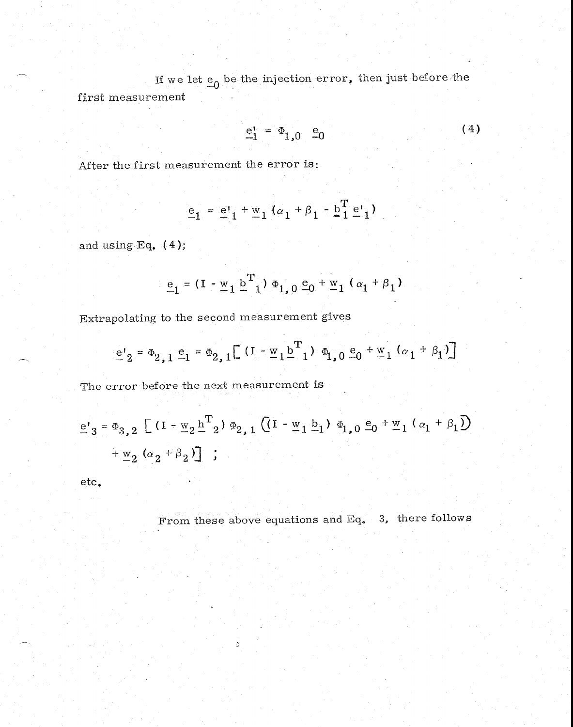If we let  $\epsilon_0$  be the injection error, then just before the first measurement

$$
\underline{e}_1^1 = \Phi_{1,0} \underline{e}_0 \tag{4}
$$

After the first measurement the error is:

$$
\underline{e}_{1} = \underline{e}_{1}^{t} + \underline{w}_{1} (\alpha_{1} + \beta_{1} - \underline{b}_{1}^{T} \underline{e}_{1}^{t})
$$

and using Eq.  $(4)$ ;

$$
\underline{\mathbf{e}}_1 = (\mathbf{I} - \underline{\mathbf{w}}_1 \underline{\mathbf{b}}^{\mathrm{T}}_1) \Phi_{1,0} \underline{\mathbf{e}}_0 + \underline{\mathbf{w}}_1 (\alpha_1 + \beta_1)
$$

Extrapolating to the second measurement gives

$$
e_2 = \Phi_{2,1} e_1 = \Phi_{2,1} \left[ (1 - \underline{w}_1 \underline{b}^T_1) \Phi_{1,0} e_0 + \underline{w}_1 (\alpha_1 + \beta_1) \right]
$$

The error before the next measurement is

$$
\underline{e'}_{3} = \Phi_{3,2} \left[ (I - \underline{w}_{2} \underline{h}^{T}_{2}) \Phi_{2,1} \left( (I - \underline{w}_{1} \underline{b}_{1}) \Phi_{1,0} \underline{e}_{0} + \underline{w}_{1} (\alpha_{1} + \beta_{1}) \right) + \underline{w}_{2} (\alpha_{2} + \beta_{2}) \right] ;
$$

etc.

From these above equations and Eq. 3, there follows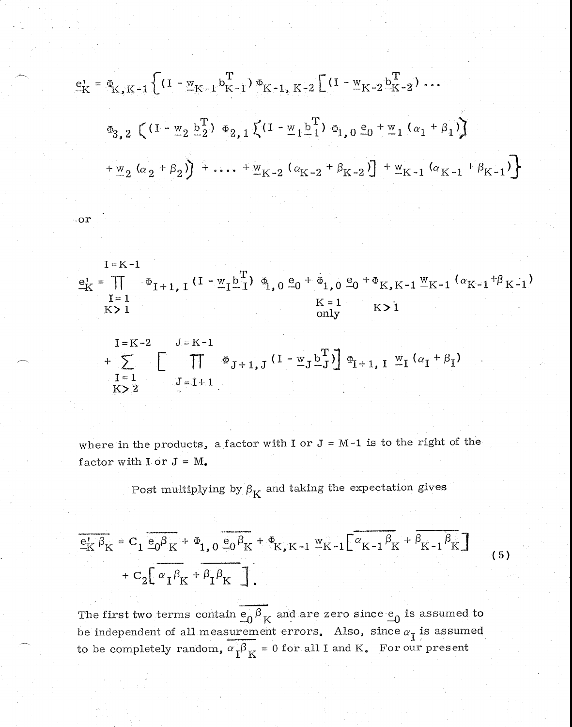$$
e_{K}^{1} = \Phi_{K,K-1} \left\{ (1 - w_{K-1} b_{K-1}^{T}) \Phi_{K-1, K-2} \left[ (1 - w_{K-2} b_{K-2}^{T}) \cdots \right] \right\}
$$
  
\n
$$
\Phi_{3,2} \left( (1 - w_{2} b_{2}^{T}) \Phi_{2,1} \left( (1 - w_{1} b_{1}^{T}) \Phi_{1,0} e_{0} + w_{1} (a_{1} + \beta_{1}) \right) \right)
$$
  
\n
$$
+ w_{2} (a_{2} + \beta_{2}) + \cdots + w_{K-2} (a_{K-2} + \beta_{K-2}) + w_{K-1} (a_{K-1} + \beta_{K-1}) \right\}
$$

 $\circ$  or

$$
I = K - 1
$$
\n
$$
e_{K}^{I} = \prod_{\substack{I=1 \ K>1}} \Phi_{I+1, I} (I - \underline{w}_{I} \underline{b}_{I}^{T}) \Phi_{I, 0} \underline{e}_{0} + \Phi_{1, 0} \underline{e}_{0} + \Phi_{K, K-1} \underline{w}_{K-1} (\alpha_{K-1} + \beta_{K-1})
$$
\n
$$
K > 1
$$
\n
$$
K > 1
$$

$$
I = K - 2
$$
\n
$$
+ \sum_{\substack{I = 1 \\ K > 2}}^{I = K - 2} \left[ \prod_{J = I + 1}^{J = K - 1} \Phi_{J + 1, J} (I - \underline{w}_{J} \underline{b}_{J}^{T}) \right] \Phi_{I + 1, I} \underline{w}_{I} (\alpha_{I} + \beta_{I})
$$

where in the products, a factor with I or  $J = M-1$  is to the right of the factor with  $I$  or  $J = M$ .

Post multiplying by  $\boldsymbol{\beta}_K$  and taking the expectation gives

$$
\frac{\overline{e}_{K} \beta_{K}}{+ c_{2} \left[ \alpha_{I} \beta_{K} + \beta_{I} \beta_{K} \right]}\n+ c_{2} \left[ \alpha_{I} \beta_{K} + \beta_{I} \beta_{K} \right]
$$
\n(5)

The first two terms contain  $\overline{e_0 \beta}_K$  and are zero since  $\overline{e_0}$  is assumed to be independent of all measurement errors. Also, since  $\alpha_{\bar{1}}$  is assumed to be completely random,  $\alpha_{\text{T}}^{\beta} \beta_K = 0$  for all I and K. For our present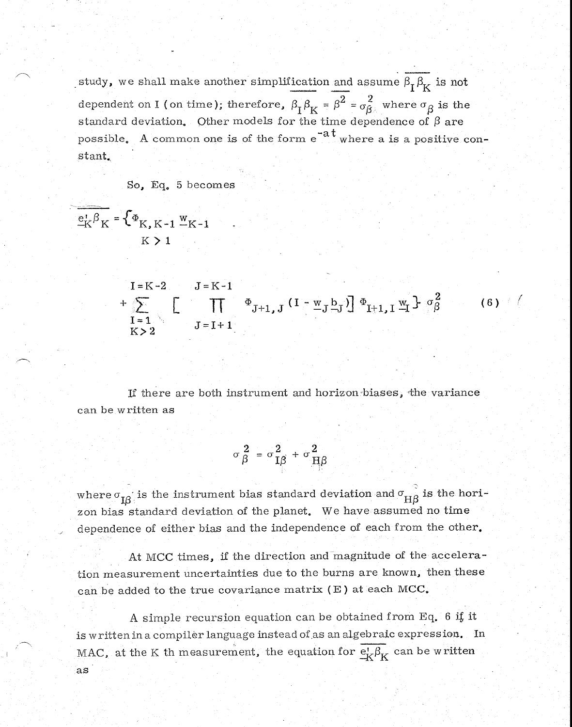study, we shall make another simplification and assume  $\beta_I \beta_K$  is not dependent on I (on time); therefore,  $\beta_{\text{I}} \beta_{\text{K}} = \beta^2 = \sigma_{\beta}^2$  where  $\sigma_{\beta}$  is the standard deviation. Other models for the time dependence of  $\beta$  are possible. A common one is of the form  $e^{-at}$  where a is a positive constant.

## o, Eq. 5 becomes

$$
\frac{e_K^j \beta_K}{K} = \begin{cases} \Phi_{K,K-1} & \text{w}_{K-1} \\ K > 1 \end{cases}
$$
\n
$$
I = K - 2 \qquad J = K - 1
$$
\n
$$
+ \sum_{\substack{I = 1 \\ I = 1}}^{K} \left[ \prod_{J = I + 1}^{\infty} \Phi_{J+1,J} (I - w_J b_J) \right] \Phi_{I+1,J} w_I \Big\} \sigma_{\beta}^2 \tag{6}
$$

If there are both instrument and horizon biases, the variance can be written as

$$
\sigma_{\beta}^2 = \sigma_{\text{I}\beta}^2 + \sigma_{\text{H}\beta}^2
$$

where  $\sigma_{16}$  is the instrument bias standard deviation and  $\sigma_{\text{H}B}$  is the horizon bias standard deviation of the planet. We have assumed no time dependence of either bias and the independence of each from the other.

At MCC times, if the direction and magnitude of the acceleration measurement uncertainties due to the burns are known, then these can be added to the true covariance matrix (E) at each MCC.

A simple recursion equation can be obtained from Eq. 6 if it is written in a compiler language instead of as an algebraic expression. In MAC, at the K th measurement, the equation for  $\frac{e^t}{K} \beta_K$  can be written as